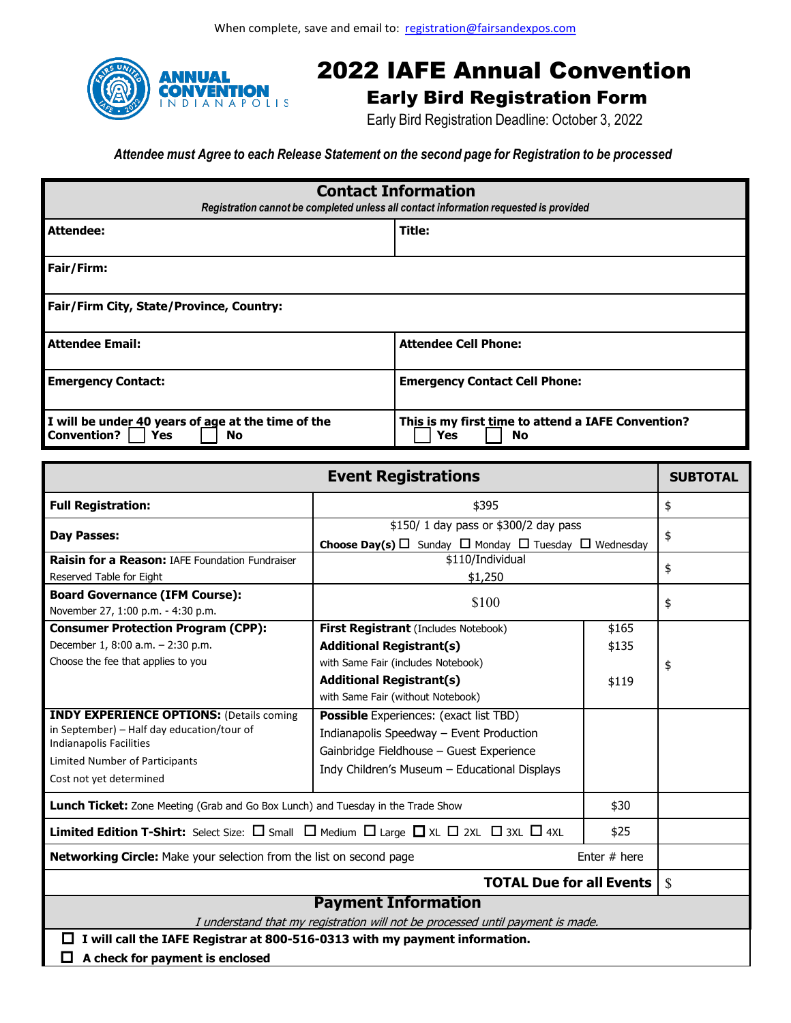

## 2022 IAFE Annual Convention

## Early Bird Registration Form

Early Bird Registration Deadline: October 3, 2022

*Attendee must Agree to each Release Statement on the second page for Registration to be processed*

| <b>Contact Information</b><br>Registration cannot be completed unless all contact information requested is provided |                                                                 |  |  |  |
|---------------------------------------------------------------------------------------------------------------------|-----------------------------------------------------------------|--|--|--|
| Attendee:                                                                                                           | Title:                                                          |  |  |  |
| Fair/Firm:                                                                                                          |                                                                 |  |  |  |
| Fair/Firm City, State/Province, Country:                                                                            |                                                                 |  |  |  |
| <b>Attendee Email:</b>                                                                                              | <b>Attendee Cell Phone:</b>                                     |  |  |  |
| <b>Emergency Contact:</b>                                                                                           | <b>Emergency Contact Cell Phone:</b>                            |  |  |  |
| I will be under 40 years of age at the time of the<br><b>Convention?</b><br><b>Yes</b><br>No                        | This is my first time to attend a IAFE Convention?<br>Yes<br>No |  |  |  |

| <b>Event Registrations</b>                                                                                                                                                                   |                                                                                                                                                                                        |                         |    |  |  |  |
|----------------------------------------------------------------------------------------------------------------------------------------------------------------------------------------------|----------------------------------------------------------------------------------------------------------------------------------------------------------------------------------------|-------------------------|----|--|--|--|
| <b>Full Registration:</b>                                                                                                                                                                    | \$395                                                                                                                                                                                  |                         | \$ |  |  |  |
| \$150/ 1 day pass or \$300/2 day pass<br><b>Day Passes:</b><br><b>Choose Day(s)</b> $\Box$ Sunday $\Box$ Monday $\Box$ Tuesday $\Box$ Wednesday                                              |                                                                                                                                                                                        | \$                      |    |  |  |  |
| <b>Raisin for a Reason: IAFE Foundation Fundraiser</b><br>Reserved Table for Eight                                                                                                           | \$110/Individual<br>\$1,250                                                                                                                                                            |                         | \$ |  |  |  |
| <b>Board Governance (IFM Course):</b><br>November 27, 1:00 p.m. - 4:30 p.m.                                                                                                                  | \$100                                                                                                                                                                                  |                         | \$ |  |  |  |
| <b>Consumer Protection Program (CPP):</b><br>December 1, 8:00 a.m. - 2:30 p.m.<br>Choose the fee that applies to you                                                                         | First Registrant (Includes Notebook)<br><b>Additional Registrant(s)</b><br>with Same Fair (includes Notebook)<br><b>Additional Registrant(s)</b><br>with Same Fair (without Notebook)  | \$165<br>\$135<br>\$119 | \$ |  |  |  |
| <b>INDY EXPERIENCE OPTIONS: (Details coming</b><br>in September) - Half day education/tour of<br>Indianapolis Facilities<br><b>Limited Number of Participants</b><br>Cost not yet determined | <b>Possible</b> Experiences: (exact list TBD)<br>Indianapolis Speedway - Event Production<br>Gainbridge Fieldhouse - Guest Experience<br>Indy Children's Museum - Educational Displays |                         |    |  |  |  |
| Lunch Ticket: Zone Meeting (Grab and Go Box Lunch) and Tuesday in the Trade Show<br>\$30                                                                                                     |                                                                                                                                                                                        |                         |    |  |  |  |
| <b>Limited Edition T-Shirt:</b> Select Size: $\Box$ Small $\Box$ Medium $\Box$ Large $\Box$ XL $\Box$ 2XL $\Box$ 3XL $\Box$ 4XL<br>\$25                                                      |                                                                                                                                                                                        |                         |    |  |  |  |
| Enter $#$ here<br><b>Networking Circle:</b> Make your selection from the list on second page                                                                                                 |                                                                                                                                                                                        |                         |    |  |  |  |
| <b>TOTAL Due for all Events</b>                                                                                                                                                              |                                                                                                                                                                                        |                         |    |  |  |  |
| <b>Payment Information</b><br>I understand that my registration will not be processed until payment is made.                                                                                 |                                                                                                                                                                                        |                         |    |  |  |  |
| I will call the IAFE Registrar at 800-516-0313 with my payment information.<br>ш<br>A check for payment is enclosed                                                                          |                                                                                                                                                                                        |                         |    |  |  |  |